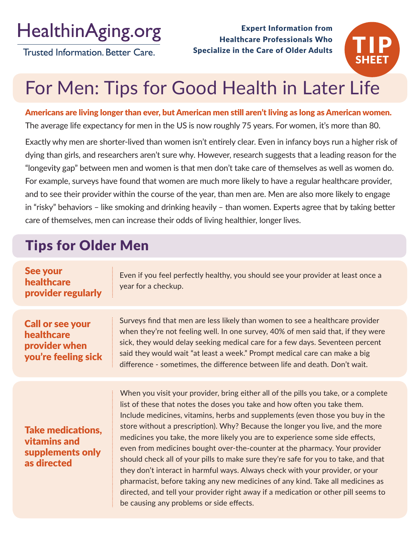## **HealthinAging.org**

**Trusted Information. Better Care.** 

Expert Information from Healthcare Professionals Who Specialize in the Care of Older Adults



# For Men: Tips for Good Health in Later Life

Americans are living longer than ever, but American men still aren't living as long as American women. The average life expectancy for men in the US is now roughly 75 years. For women, it's more than 80.

Exactly why men are shorter-lived than women isn't entirely clear. Even in infancy boys run a higher risk of dying than girls, and researchers aren't sure why. However, research suggests that a leading reason for the "longevity gap" between men and women is that men don't take care of themselves as well as women do. For example, surveys have found that women are much more likely to have a regular healthcare provider, and to see their provider within the course of the year, than men are. Men are also more likely to engage in "risky" behaviors – like smoking and drinking heavily – than women. Experts agree that by taking better care of themselves, men can increase their odds of living healthier, longer lives.

### Tips for Older Men

| See your<br>healthcare<br>provider regularly                                  | Even if you feel perfectly healthy, you should see your provider at least once a<br>year for a checkup.                                                                                                                                                                                                                                                                                                                                                                                                                                                                                                                                                                                                                                                                                                                                                                                    |
|-------------------------------------------------------------------------------|--------------------------------------------------------------------------------------------------------------------------------------------------------------------------------------------------------------------------------------------------------------------------------------------------------------------------------------------------------------------------------------------------------------------------------------------------------------------------------------------------------------------------------------------------------------------------------------------------------------------------------------------------------------------------------------------------------------------------------------------------------------------------------------------------------------------------------------------------------------------------------------------|
| <b>Call or see your</b><br>healthcare<br>provider when<br>you're feeling sick | Surveys find that men are less likely than women to see a healthcare provider<br>when they're not feeling well. In one survey, 40% of men said that, if they were<br>sick, they would delay seeking medical care for a few days. Seventeen percent<br>said they would wait "at least a week." Prompt medical care can make a big<br>difference - sometimes, the difference between life and death. Don't wait.                                                                                                                                                                                                                                                                                                                                                                                                                                                                             |
| <b>Take medications,</b><br>vitamins and<br>supplements only<br>as directed   | When you visit your provider, bring either all of the pills you take, or a complete<br>list of these that notes the doses you take and how often you take them.<br>Include medicines, vitamins, herbs and supplements (even those you buy in the<br>store without a prescription). Why? Because the longer you live, and the more<br>medicines you take, the more likely you are to experience some side effects,<br>even from medicines bought over-the-counter at the pharmacy. Your provider<br>should check all of your pills to make sure they're safe for you to take, and that<br>they don't interact in harmful ways. Always check with your provider, or your<br>pharmacist, before taking any new medicines of any kind. Take all medicines as<br>directed, and tell your provider right away if a medication or other pill seems to<br>be causing any problems or side effects. |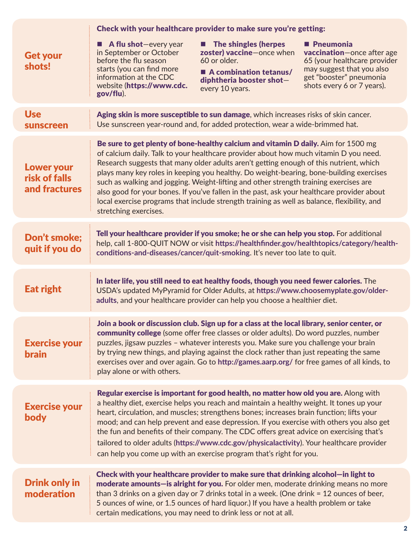|                                                     | Check with your healthcare provider to make sure you're getting:                                                                                                                                                                                                                                                                                                                                                                                                                                                                                                                                                                                                                |
|-----------------------------------------------------|---------------------------------------------------------------------------------------------------------------------------------------------------------------------------------------------------------------------------------------------------------------------------------------------------------------------------------------------------------------------------------------------------------------------------------------------------------------------------------------------------------------------------------------------------------------------------------------------------------------------------------------------------------------------------------|
| <b>Get your</b><br>shots!                           | <b>The shingles (herpes</b><br><b>P</b> neumonia<br><b>A flu shot</b> —every year<br>▁<br>zoster) vaccine-once when<br>in September or October<br>vaccination-once after age<br>before the flu season<br>60 or older.<br>65 (your healthcare provider<br>starts (you can find more<br>may suggest that you also<br>A combination tetanus/<br>get "booster" pneumonia<br>information at the CDC<br>diphtheria booster shot-<br>website (https://www.cdc.<br>shots every 6 or 7 years).<br>every 10 years.<br>gov/flu).                                                                                                                                                           |
| <b>Use</b><br><b>sunscreen</b>                      | Aging skin is more susceptible to sun damage, which increases risks of skin cancer.<br>Use sunscreen year-round and, for added protection, wear a wide-brimmed hat.                                                                                                                                                                                                                                                                                                                                                                                                                                                                                                             |
| <b>Lower your</b><br>risk of falls<br>and fractures | Be sure to get plenty of bone-healthy calcium and vitamin D daily. Aim for 1500 mg<br>of calcium daily. Talk to your healthcare provider about how much vitamin D you need.<br>Research suggests that many older adults aren't getting enough of this nutrient, which<br>plays many key roles in keeping you healthy. Do weight-bearing, bone-building exercises<br>such as walking and jogging. Weight-lifting and other strength training exercises are<br>also good for your bones. If you've fallen in the past, ask your healthcare provider about<br>local exercise programs that include strength training as well as balance, flexibility, and<br>stretching exercises. |
| <b>Don't smoke;</b><br>quit if you do               | Tell your healthcare provider if you smoke; he or she can help you stop. For additional<br>help, call 1-800-QUIT NOW or visit https://healthfinder.gov/healthtopics/category/health-<br>conditions-and-diseases/cancer/quit-smoking. It's never too late to quit.                                                                                                                                                                                                                                                                                                                                                                                                               |
| <b>Eat right</b>                                    | In later life, you still need to eat healthy foods, though you need fewer calories. The<br>USDA's updated MyPyramid for Older Adults, at https://www.choosemyplate.gov/older-<br>adults, and your healthcare provider can help you choose a healthier diet.                                                                                                                                                                                                                                                                                                                                                                                                                     |
| <b>Exercise your</b><br><b>brain</b>                | Join a book or discussion club. Sign up for a class at the local library, senior center, or<br>community college (some offer free classes or older adults). Do word puzzles, number<br>puzzles, jigsaw puzzles - whatever interests you. Make sure you challenge your brain<br>by trying new things, and playing against the clock rather than just repeating the same<br>exercises over and over again. Go to http://games.aarp.org/ for free games of all kinds, to<br>play alone or with others.                                                                                                                                                                             |
| <b>Exercise your</b><br>body                        | Regular exercise is important for good health, no matter how old you are. Along with<br>a healthy diet, exercise helps you reach and maintain a healthy weight. It tones up your<br>heart, circulation, and muscles; strengthens bones; increases brain function; lifts your<br>mood; and can help prevent and ease depression. If you exercise with others you also get<br>the fun and benefits of their company. The CDC offers great advice on exercising that's<br>tailored to older adults (https://www.cdc.gov/physicalactivity). Your healthcare provider<br>can help you come up with an exercise program that's right for you.                                         |
| <b>Drink only in</b><br>moderation                  | Check with your healthcare provider to make sure that drinking alcohol—in light to<br>moderate amounts-is alright for you. For older men, moderate drinking means no more<br>than 3 drinks on a given day or 7 drinks total in a week. (One drink = 12 ounces of beer,<br>5 ounces of wine, or 1.5 ounces of hard liquor.) If you have a health problem or take<br>certain medications, you may need to drink less or not at all.                                                                                                                                                                                                                                               |